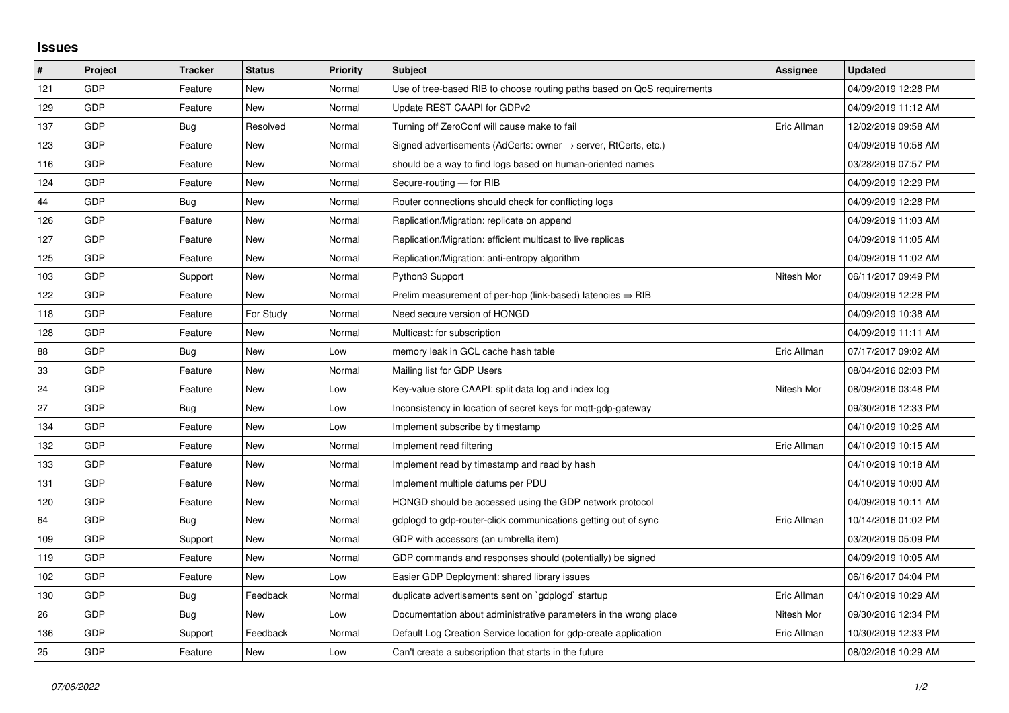## **Issues**

| #   | Project    | <b>Tracker</b> | <b>Status</b> | <b>Priority</b> | <b>Subject</b>                                                             | Assignee    | <b>Updated</b>      |
|-----|------------|----------------|---------------|-----------------|----------------------------------------------------------------------------|-------------|---------------------|
| 121 | GDP        | Feature        | <b>New</b>    | Normal          | Use of tree-based RIB to choose routing paths based on QoS requirements    |             | 04/09/2019 12:28 PM |
| 129 | GDP        | Feature        | <b>New</b>    | Normal          | Update REST CAAPI for GDPv2                                                |             | 04/09/2019 11:12 AM |
| 137 | <b>GDP</b> | Bug            | Resolved      | Normal          | Turning off ZeroConf will cause make to fail                               | Eric Allman | 12/02/2019 09:58 AM |
| 123 | GDP        | Feature        | <b>New</b>    | Normal          | Signed advertisements (AdCerts: owner $\rightarrow$ server, RtCerts, etc.) |             | 04/09/2019 10:58 AM |
| 116 | GDP        | Feature        | <b>New</b>    | Normal          | should be a way to find logs based on human-oriented names                 |             | 03/28/2019 07:57 PM |
| 124 | GDP        | Feature        | New           | Normal          | Secure-routing - for RIB                                                   |             | 04/09/2019 12:29 PM |
| 44  | GDP        | Bug            | New           | Normal          | Router connections should check for conflicting logs                       |             | 04/09/2019 12:28 PM |
| 126 | GDP        | Feature        | <b>New</b>    | Normal          | Replication/Migration: replicate on append                                 |             | 04/09/2019 11:03 AM |
| 127 | GDP        | Feature        | <b>New</b>    | Normal          | Replication/Migration: efficient multicast to live replicas                |             | 04/09/2019 11:05 AM |
| 125 | GDP        | Feature        | <b>New</b>    | Normal          | Replication/Migration: anti-entropy algorithm                              |             | 04/09/2019 11:02 AM |
| 103 | GDP        | Support        | <b>New</b>    | Normal          | Python3 Support                                                            | Nitesh Mor  | 06/11/2017 09:49 PM |
| 122 | GDP        | Feature        | New           | Normal          | Prelim measurement of per-hop (link-based) latencies $\Rightarrow$ RIB     |             | 04/09/2019 12:28 PM |
| 118 | GDP        | Feature        | For Study     | Normal          | Need secure version of HONGD                                               |             | 04/09/2019 10:38 AM |
| 128 | GDP        | Feature        | <b>New</b>    | Normal          | Multicast: for subscription                                                |             | 04/09/2019 11:11 AM |
| 88  | GDP        | Bug            | New           | Low             | memory leak in GCL cache hash table                                        | Eric Allman | 07/17/2017 09:02 AM |
| 33  | <b>GDP</b> | Feature        | <b>New</b>    | Normal          | Mailing list for GDP Users                                                 |             | 08/04/2016 02:03 PM |
| 24  | GDP        | Feature        | <b>New</b>    | Low             | Key-value store CAAPI: split data log and index log                        | Nitesh Mor  | 08/09/2016 03:48 PM |
| 27  | GDP        | Bug            | New           | Low             | Inconsistency in location of secret keys for mgtt-gdp-gateway              |             | 09/30/2016 12:33 PM |
| 134 | GDP        | Feature        | <b>New</b>    | Low             | Implement subscribe by timestamp                                           |             | 04/10/2019 10:26 AM |
| 132 | GDP        | Feature        | <b>New</b>    | Normal          | Implement read filtering                                                   | Eric Allman | 04/10/2019 10:15 AM |
| 133 | GDP        | Feature        | New           | Normal          | Implement read by timestamp and read by hash                               |             | 04/10/2019 10:18 AM |
| 131 | GDP        | Feature        | <b>New</b>    | Normal          | Implement multiple datums per PDU                                          |             | 04/10/2019 10:00 AM |
| 120 | GDP        | Feature        | New           | Normal          | HONGD should be accessed using the GDP network protocol                    |             | 04/09/2019 10:11 AM |
| 64  | GDP        | Bug            | <b>New</b>    | Normal          | gdplogd to gdp-router-click communications getting out of sync             | Eric Allman | 10/14/2016 01:02 PM |
| 109 | GDP        | Support        | <b>New</b>    | Normal          | GDP with accessors (an umbrella item)                                      |             | 03/20/2019 05:09 PM |
| 119 | GDP        | Feature        | <b>New</b>    | Normal          | GDP commands and responses should (potentially) be signed                  |             | 04/09/2019 10:05 AM |
| 102 | GDP        | Feature        | <b>New</b>    | Low             | Easier GDP Deployment: shared library issues                               |             | 06/16/2017 04:04 PM |
| 130 | GDP        | Bug            | Feedback      | Normal          | duplicate advertisements sent on `gdplogd` startup                         | Eric Allman | 04/10/2019 10:29 AM |
| 26  | GDP        | Bug            | <b>New</b>    | Low             | Documentation about administrative parameters in the wrong place           | Nitesh Mor  | 09/30/2016 12:34 PM |
| 136 | GDP        | Support        | Feedback      | Normal          | Default Log Creation Service location for gdp-create application           | Eric Allman | 10/30/2019 12:33 PM |
| 25  | GDP        | Feature        | <b>New</b>    | Low             | Can't create a subscription that starts in the future                      |             | 08/02/2016 10:29 AM |